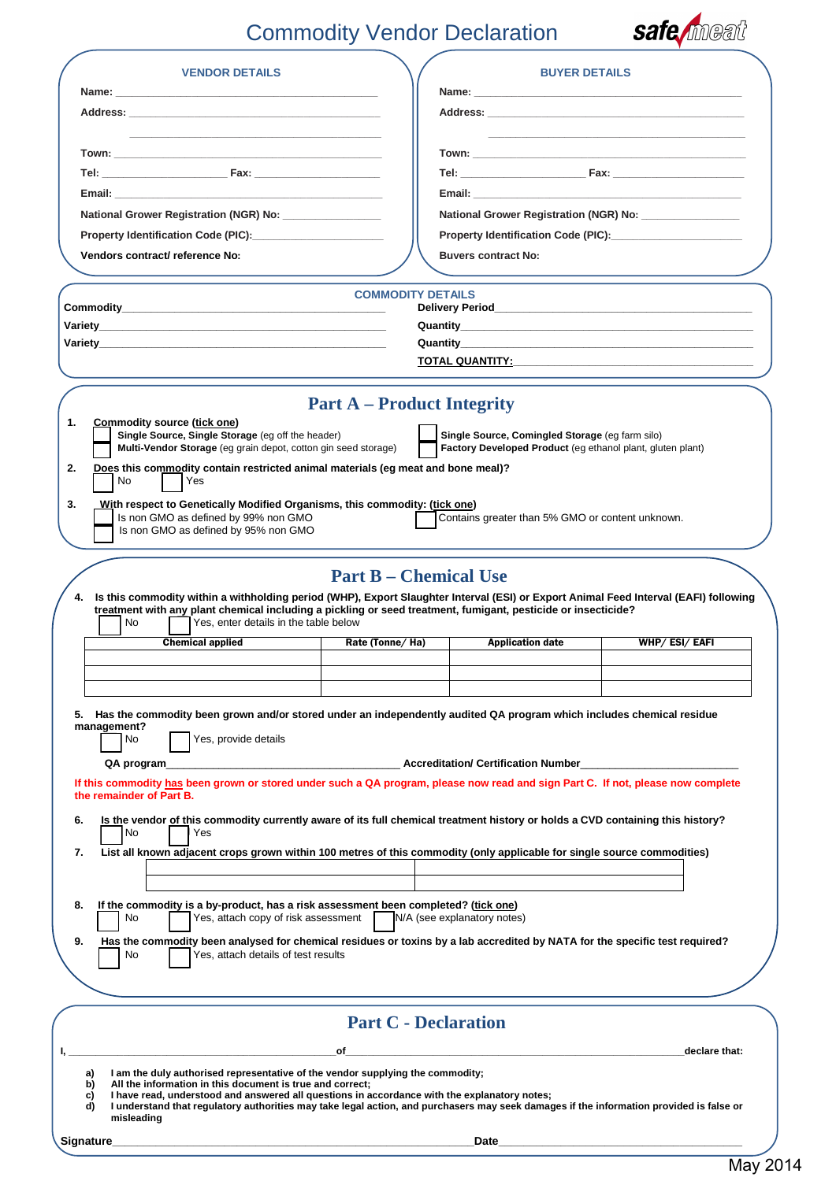# Commodity Vendor Declaration



| <b>VENDOR DETAILS</b>                                                                                                                                                                                                                               | <b>BUYER DETAILS</b>                                                                                                    |  |
|-----------------------------------------------------------------------------------------------------------------------------------------------------------------------------------------------------------------------------------------------------|-------------------------------------------------------------------------------------------------------------------------|--|
|                                                                                                                                                                                                                                                     |                                                                                                                         |  |
|                                                                                                                                                                                                                                                     |                                                                                                                         |  |
|                                                                                                                                                                                                                                                     |                                                                                                                         |  |
|                                                                                                                                                                                                                                                     |                                                                                                                         |  |
|                                                                                                                                                                                                                                                     |                                                                                                                         |  |
|                                                                                                                                                                                                                                                     |                                                                                                                         |  |
| National Grower Registration (NGR) No: __________________                                                                                                                                                                                           | National Grower Registration (NGR) No:                                                                                  |  |
|                                                                                                                                                                                                                                                     |                                                                                                                         |  |
| Vendors contract/ reference No:                                                                                                                                                                                                                     | <b>Buvers contract No:</b>                                                                                              |  |
|                                                                                                                                                                                                                                                     |                                                                                                                         |  |
|                                                                                                                                                                                                                                                     | <b>COMMODITY DETAILS</b>                                                                                                |  |
|                                                                                                                                                                                                                                                     |                                                                                                                         |  |
|                                                                                                                                                                                                                                                     | Quantity <b>Design Community Community Community Community Community Community Community</b>                            |  |
|                                                                                                                                                                                                                                                     |                                                                                                                         |  |
|                                                                                                                                                                                                                                                     |                                                                                                                         |  |
| <b>Part A – Product Integrity</b>                                                                                                                                                                                                                   |                                                                                                                         |  |
| 1.<br>Commodity source (tick one)<br>Single Source, Single Storage (eg off the header)                                                                                                                                                              | Single Source, Comingled Storage (eq farm silo)                                                                         |  |
| Multi-Vendor Storage (eg grain depot, cotton gin seed storage)                                                                                                                                                                                      | Factory Developed Product (eq ethanol plant, gluten plant)                                                              |  |
| 2.<br>Does this commodity contain restricted animal materials (eg meat and bone meal)?                                                                                                                                                              |                                                                                                                         |  |
| No<br>Yes                                                                                                                                                                                                                                           |                                                                                                                         |  |
| 3.<br>With respect to Genetically Modified Organisms, this commodity: (tick one)<br>Is non GMO as defined by 99% non GMO                                                                                                                            | Contains greater than 5% GMO or content unknown.                                                                        |  |
| Is non GMO as defined by 95% non GMO                                                                                                                                                                                                                |                                                                                                                         |  |
|                                                                                                                                                                                                                                                     |                                                                                                                         |  |
| <b>Part B – Chemical Use</b>                                                                                                                                                                                                                        |                                                                                                                         |  |
| 4.<br>Is this commodity within a withholding period (WHP), Export Slaughter Interval (ESI) or Export Animal Feed Interval (EAFI) following                                                                                                          |                                                                                                                         |  |
| treatment with any plant chemical including a pickling or seed treatment, fumigant, pesticide or insecticide?<br>Yes, enter details in the table below<br>No                                                                                        |                                                                                                                         |  |
| <b>Chemical applied</b><br>Rate (Tonne/ Ha)                                                                                                                                                                                                         | WHP/ESI/EAFI<br><b>Application date</b>                                                                                 |  |
|                                                                                                                                                                                                                                                     |                                                                                                                         |  |
|                                                                                                                                                                                                                                                     |                                                                                                                         |  |
|                                                                                                                                                                                                                                                     |                                                                                                                         |  |
| 5. Has the commodity been grown and/or stored under an independently audited QA program which includes chemical residue<br>management?                                                                                                              |                                                                                                                         |  |
| Yes, provide details<br>No                                                                                                                                                                                                                          |                                                                                                                         |  |
| QA program                                                                                                                                                                                                                                          |                                                                                                                         |  |
| If this commodity has been grown or stored under such a QA program, please now read and sign Part C. If not, please now complete<br>the remainder of Part B.                                                                                        |                                                                                                                         |  |
|                                                                                                                                                                                                                                                     |                                                                                                                         |  |
| Is the vendor of this commodity currently aware of its full chemical treatment history or holds a CVD containing this history?<br>6.<br>Yes<br>No                                                                                                   |                                                                                                                         |  |
| 7.                                                                                                                                                                                                                                                  | List all known adjacent crops grown within 100 metres of this commodity (only applicable for single source commodities) |  |
|                                                                                                                                                                                                                                                     |                                                                                                                         |  |
|                                                                                                                                                                                                                                                     |                                                                                                                         |  |
| If the commodity is a by-product, has a risk assessment been completed? (tick one)<br>8.<br>Yes, attach copy of risk assessment<br>N/A (see explanatory notes)<br>No                                                                                |                                                                                                                         |  |
| 9.<br>Has the commodity been analysed for chemical residues or toxins by a lab accredited by NATA for the specific test required?                                                                                                                   |                                                                                                                         |  |
| Yes, attach details of test results<br>No                                                                                                                                                                                                           |                                                                                                                         |  |
|                                                                                                                                                                                                                                                     |                                                                                                                         |  |
|                                                                                                                                                                                                                                                     |                                                                                                                         |  |
| <b>Part C - Declaration</b>                                                                                                                                                                                                                         |                                                                                                                         |  |
|                                                                                                                                                                                                                                                     |                                                                                                                         |  |
| οf<br>declare that:                                                                                                                                                                                                                                 |                                                                                                                         |  |
| I am the duly authorised representative of the vendor supplying the commodity;<br>a)<br>b)<br>All the information in this document is true and correct;                                                                                             |                                                                                                                         |  |
| I have read, understood and answered all questions in accordance with the explanatory notes;<br>c)<br>I understand that regulatory authorities may take legal action, and purchasers may seek damages if the information provided is false or<br>d) |                                                                                                                         |  |
| misleading                                                                                                                                                                                                                                          |                                                                                                                         |  |
| Signature                                                                                                                                                                                                                                           | Date                                                                                                                    |  |